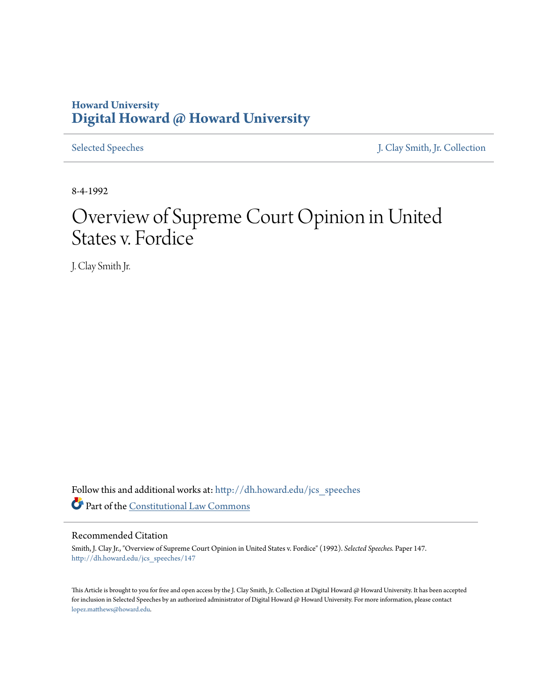# **Howard University [Digital Howard @ Howard University](http://dh.howard.edu?utm_source=dh.howard.edu%2Fjcs_speeches%2F147&utm_medium=PDF&utm_campaign=PDFCoverPages)**

[Selected Speeches](http://dh.howard.edu/jcs_speeches?utm_source=dh.howard.edu%2Fjcs_speeches%2F147&utm_medium=PDF&utm_campaign=PDFCoverPages) [J. Clay Smith, Jr. Collection](http://dh.howard.edu/jcsmith?utm_source=dh.howard.edu%2Fjcs_speeches%2F147&utm_medium=PDF&utm_campaign=PDFCoverPages)

8-4-1992

# Overview of Supreme Court Opinion in United States v. Fordice

J. Clay Smith Jr.

Follow this and additional works at: [http://dh.howard.edu/jcs\\_speeches](http://dh.howard.edu/jcs_speeches?utm_source=dh.howard.edu%2Fjcs_speeches%2F147&utm_medium=PDF&utm_campaign=PDFCoverPages) Part of the [Constitutional Law Commons](http://network.bepress.com/hgg/discipline/589?utm_source=dh.howard.edu%2Fjcs_speeches%2F147&utm_medium=PDF&utm_campaign=PDFCoverPages)

#### Recommended Citation

Smith, J. Clay Jr., "Overview of Supreme Court Opinion in United States v. Fordice" (1992). *Selected Speeches.* Paper 147. [http://dh.howard.edu/jcs\\_speeches/147](http://dh.howard.edu/jcs_speeches/147?utm_source=dh.howard.edu%2Fjcs_speeches%2F147&utm_medium=PDF&utm_campaign=PDFCoverPages)

This Article is brought to you for free and open access by the J. Clay Smith, Jr. Collection at Digital Howard @ Howard University. It has been accepted for inclusion in Selected Speeches by an authorized administrator of Digital Howard @ Howard University. For more information, please contact [lopez.matthews@howard.edu.](mailto:lopez.matthews@howard.edu)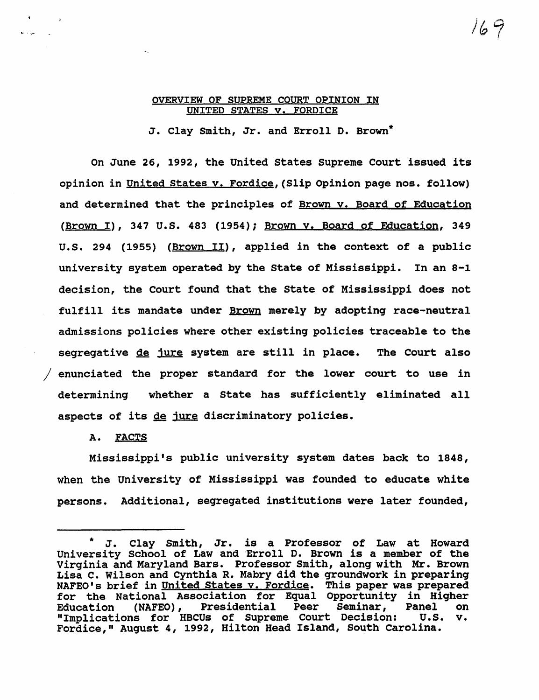#### OVERVIEW OF SUPREME COURT OPINION IN UNITED STATES v. FORDICE

J. clay smith, Jr. and Erroll D. Brown\*

On June 26, 1992, the united states Supreme Court issued its opinion in united states v. Fordice,(Slip Opinion page nos. follow) and determined that the principles of Brown v. Board of Education (Brown I), 347 U.S. 483 (1954); Brown y. Board of Education, 349 U.S. 294 (1955) (Brown II), applied in the context of a public university system operated by the State of Mississippi. In an 8-1 decision, the Court found that the state of Mississippi does not fulfill its mandate under Brown merely by adopting race-neutral admissions policies where other existing policies traceable to the segregative de jure system are still in place. The Court also / enunciated the proper standard for the lower court to use in determining whether a state has sufficiently eliminated all aspects of its de jure discriminatory policies.

A. FACTS

Mississippi's public university system dates back to 1848, when the university of Mississippi was founded to educate white persons. Additional, segregated institutions were later founded,

J. Clay Smith, Jr. is a Professor of Law at Howard University School of Law and Erroll D. Brown is a member of the Virginia and Maryland Bars. Professor Smith, along with Mr. Brown Lisa C. wilson and Cynthia R. Mabry did the groundwork in preparing NAFEO's brief in United States v. Fordice. This paper was prepared for the National Association for Equal Opportunity in Higher Education (NAFEO), Presidential Peer Seminar, Panel on "Implications for HBCUs of Supreme Court Decision: U.S. v. Fordice," August 4, 1992, Hilton Head Island, South Carolina.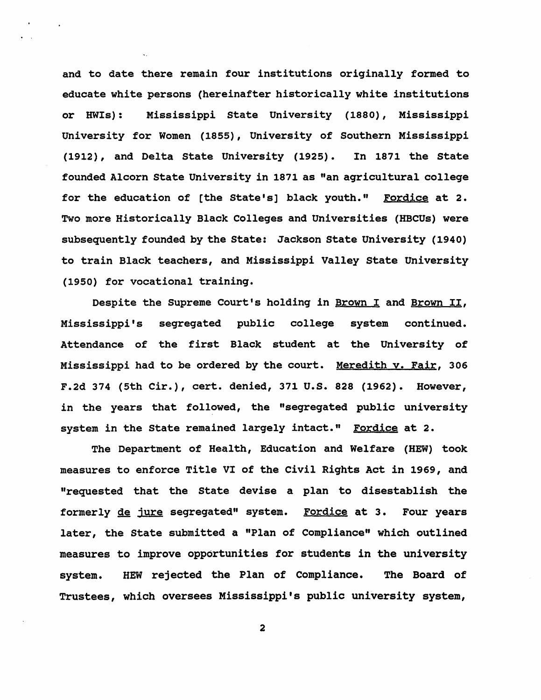and to date there remain four institutions originally formed to educate white persons (hereinafter historically white institutions or HWls): Mississippi state University (1880), Mississippi University for Women (1855), University of Southern Mississippi (1912), and Delta state University (1925). In 1871 the state founded Alcorn state University in 1871 as "an agricultural college for the education of [the State's] black youth." Fordice at 2. Two more Historically Black Colleges and Universities (HBCUs) were subsequently founded by the state: Jackson State University (1940) to train Black teachers, and Mississippi Valley state University (1950) for vocational training.

Despite the Supreme Court's holding in Brown I and Brown II, Mississippi's segregated public college system continued. Attendance of the first Black student at the University of Mississippi had to be ordered by the court. Meredith v. Fair, 306 F.2d 374 (5th Cir.), cert. denied, 371 U.S. 828 (1962). However, in the years that followed, the "segregated public university system in the State remained largely intact." Fordice at 2.

The Department of Health, Education and Welfare (HEW) took measures to enforce Title VI of the Civil Rights Act in 1969, and "requested that the State devise a plan to disestablish the formerly de jure segregated" system. Fordice at 3. Four years later, the state submitted a "Plan of Compliance" which outlined measures to improve opportunities for students in the university system. HEW rejected the Plan of Compliance. The Board of Trustees, which oversees Mississippi's public university system,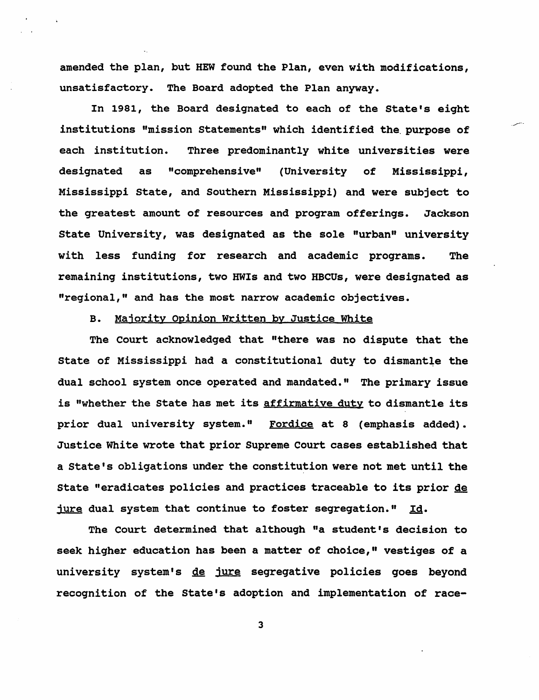amended the plan, but HEW found the Plan, even with modifications, unsatisfactory. The Board adopted the Plan anyway.

In 1981, the Board designated to each of the state's eight institutions "mission statements" which identified the. purpose of each institution. Three predominantly white universities were designated as "comprehensive" (University of Mississippi, Mississippi state, and Southern Mississippi) and were subject to the greatest amount of resources and program offerings. Jackson State University, was designated as the sole "urban" university with less funding for research and academic programs. The remaining institutions, two HWls and two HBCUs, were designated as "regional," and has the most narrow academic objectives.

#### B. Majority opinion Written by Justice White

The Court acknowledged that "there was no dispute that the state of Mississippi had a constitutional duty to dismantle the dual school system once operated and mandated." The primary issue is "whether the State has met its affirmative duty to dismantle its prior dual university system." Fordice at 8 (emphasis added). Justice White wrote that prior Supreme Court cases established that a State's obligations under the constitution were not met until the state "eradicates policies and practices traceable to its prior de jure dual system that continue to foster segregation."  $Id.$ 

The Court determined that although "a student's decision to seek higher education has been a matter of choice," vestiges of a university system's de jure segregative policies goes beyond recognition of the State's adoption and implementation of race-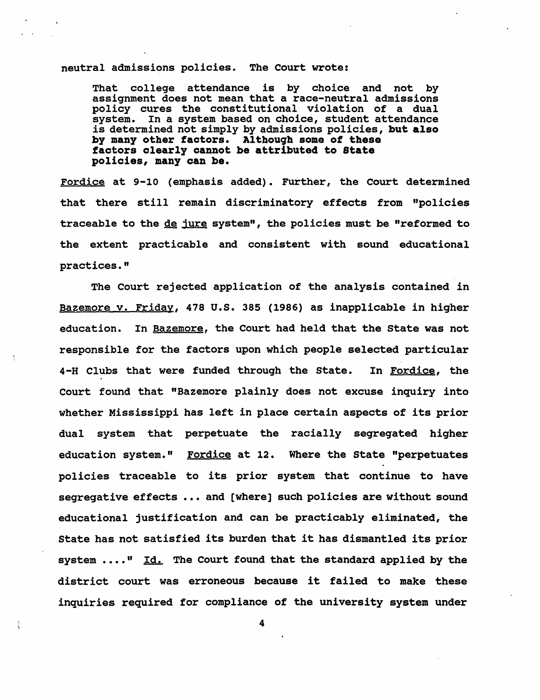#### neutral admissions policies. The Court wrote:

That college attendance is by choice and not by assignment does not mean that a race-neutral admissions policy cures the constitutional violation of a dual system. In a system based on choice, student attendance is determined not simply by admissions policies, but also by many other factors. Although some of these factors clearly cannot be attributed to state policies, many can be.

Fordice at 9-10 (emphasis added). Further, the Court determined that there still remain discriminatory effects from "policies traceable to the de jure system", the policies must be "reformed to the extent practicable and consistent with sound educational practices."

The Court rejected application of the analysis contained in Bazemore v. Friday, 478 U.S. 385 (1986) as inapplicable in higher education. In Bazemore, the Court had held that the State was not responsible for the factors upon which people selected particular 4-H Clubs that were funded through the state. In Fordice, the Court found that "Bazemore plainly does not excuse inquiry into whether Mississippi has left in place certain aspects of its prior dual system that perpetuate the racially segregated higher education system." Fordice at 12. Where the State "perpetuates policies traceable to its prior system that continue to have segregative effects ... and [where] such policies are without sound educational justification and can be practicably eliminated, the state has not satisfied its burden that it has dismantled its prior system  $\dots$ ." Id. The Court found that the standard applied by the district court was erroneous because it failed to make these inquiries required for compliance of the university system under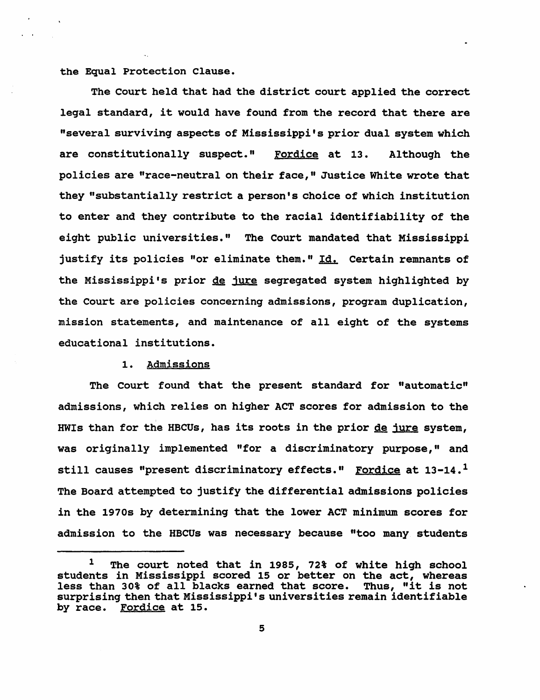the Equal Protection Clause.

The Court held that had the district court applied the correct legal standard, it would have found from the record that there are "several surviving aspects of Mississippi's prior dual system which are constitutionally suspect." Fordice at 13. Although the policies are "race-neutral on their face," Justice White wrote that they "substantially restrict a person's choice of which institution to enter and they contribute to the racial identifiability of the eight public universities." The Court mandated that Mississippi justify its policies "or eliminate them." Id. Certain remnants of the Mississippi's prior de jure segregated system highlighted by the Court are policies concerning admissions, program duplication, mission statements, and maintenance of all eight of the systems educational institutions.

#### 1. Admissions

The Court found that the present standard for "automatic" admissions, which relies on higher ACT scores for admission to the HWIs than for the HBCUs, has its roots in the prior de jure system, was originally implemented "for a discriminatory purpose," and still causes "present discriminatory effects." Fordice at  $13-14$ .<sup>1</sup> The Board attempted to justify the differential admissions policies in the 1970s by determining that the lower ACT minimum scores for admission to the HBCUs was necessary because "too many students

<sup>&</sup>lt;sup>1</sup> The court noted that in 1985, 72% of white high school students in Mississippi scored 15 or better on the act, whereas less than 30% of all blacks earned that score. Thus, "it is not surprising then that Mississippi's universities remain identifiable by race. Fordice at 15.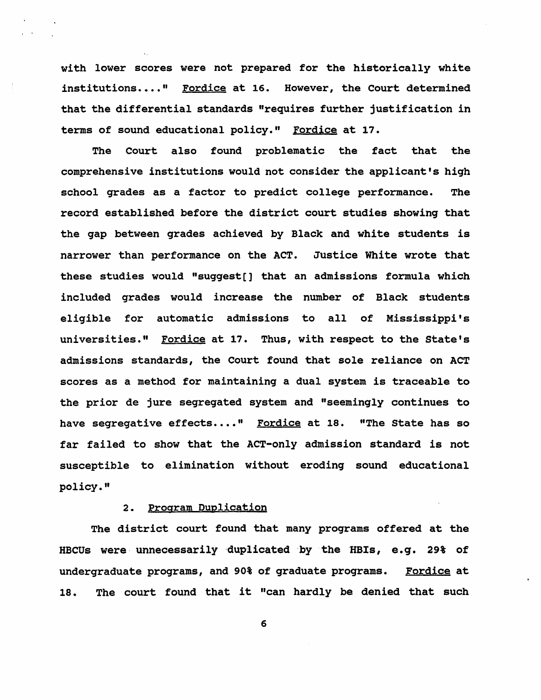with lower scores were not prepared for the historically white institutions...." Fordice at 16. However, the Court determined that the differential standards "requires further justification in terms of sound educational policy." Fordice at 17.

The Court also found problematic the fact that the comprehensive institutions would not consider the applicant's high school grades as a factor to predict college performance. The record established before the district court studies showing that the gap between grades achieved by Black and white students is narrower than performance on the ACT. Justice White wrote that these studies would "suggest[] that an admissions formula which included grades would increase the number of Black students eligible for automatic admissions to all of Mississippi's universities." Fordice at 17. Thus, with respect to the State's admissions standards, the Court found that sole reliance on ACT scores as a method for maintaining a dual system is traceable to the prior de jure segregated system and "seemingly continues to have segregative effects...." Fordice at 18. "The State has so far failed to show that the ACT-only admission standard is not susceptible to elimination without eroding sound educational policy."

#### 2. Program Duplication

The district court found that many programs offered at the HBCUs were, unnecessarily 'duplicated 'by the 'HBIs, e.g. 29% of undergraduate programs, and 90% of graduate programs. Fordice at 18. The court found that it "can hardly be denied that such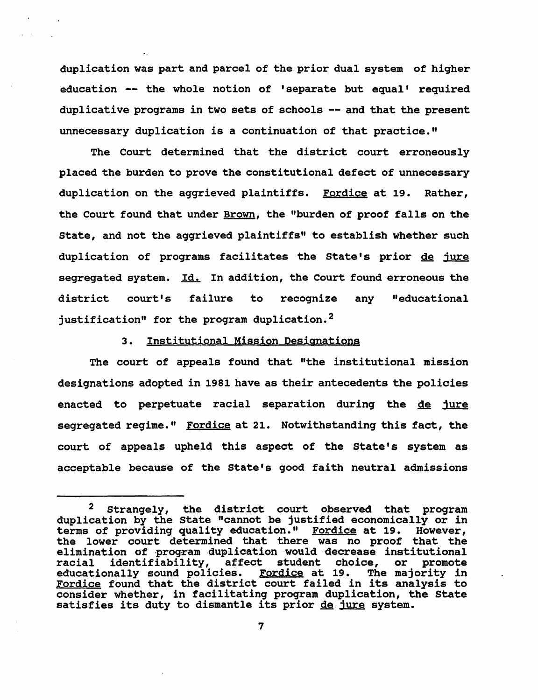duplication was part and parcel of the prior dual system of higher education -- the whole notion of 'separate but equal' required duplicative programs in two sets of schools -- and that the present unnecessary duplication is a continuation of that practice."

The Court determined that the district court erroneously placed the burden to prove the constitutional defect of unnecessary duplication on the aggrieved plaintiffs. Fordice at 19. Rather, the Court found that under Brown, the "burden of proof falls on the state, and not the aggrieved plaintiffs" to establish whether such duplication of programs facilitates the state's prior de jure segregated system. *Id.* In addition, the Court found erroneous the district court's failure to recognize any "educational justification" for the program duplication.<sup>2</sup>

#### 3. Institutional Mission Designations

The court of appeals found that "the institutional mission designations adopted in 1981 have as their antecedents the policies enacted to perpetuate racial separation during the de jure segregated regime." Fordice at 21. Notwithstanding this fact, the court of appeals upheld this aspect of the State's system as acceptable because of the state's good faith neutral admissions

<sup>&</sup>lt;sup>2</sup> Strangely, the district court observed that program duplication by the state "cannot be justified economically or in terms of providing quality education." Fordice at 19. However, the lower court determined that there was no proof that the elimination of program duplication would decrease institutional racial identifiability, affect student choice, or promote educationally sound policies. Fordice at 19. The majority in educationally sound policies. For the at 19. The majority in <u>roraice</u> found that the district court failed in its analysis to<br>consider whether, in facilitating program duplication, the State<br>satisfies its duty to dismantle its prior <u>de jure</u> system.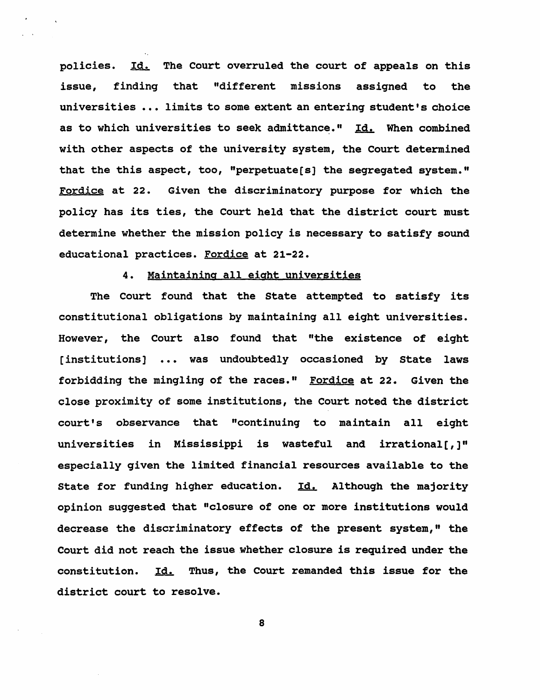policies. Id. The Court overruled the court of appeals on this issue, finding that "different missions assigned to the universities ... limits to some extent an entering student's choice as to which universities to seek admittance." Id. When combined with other aspects of the university system, the Court determined that the this aspect, too, "perpetuate(s] the segregated system." Fordice at 22. Given the discriminatory purpose for which the policy has its ties, the Court held that the district court must determine whether the mission policy is necessary to satisfy sound educational practices. Fordice at 21-22.

## 4. Maintaining all eight universities

The Court found that the state attempted to satisfy its constitutional obligations by maintaining all eight universities. However, the Court also found that "the existence of eight [institutions] ... was undoubtedly occasioned by State laws forbidding the mingling of the races." Fordice at 22. Given the close proximity of some institutions, the Court noted the district court's observance that "continuing to maintain all eight universities in Mississippi is wasteful and irrational [,  $\mathbf{l}$ " especially given the limited financial resources available to the State for funding higher education. Id. Although the majority opinion suggested that "closure of one or more institutions would decrease the discriminatory effects of the present system," the Court did not reach the issue whether closure is required under the constitution. Id. Thus, the Court remanded this issue for the district court to resolve.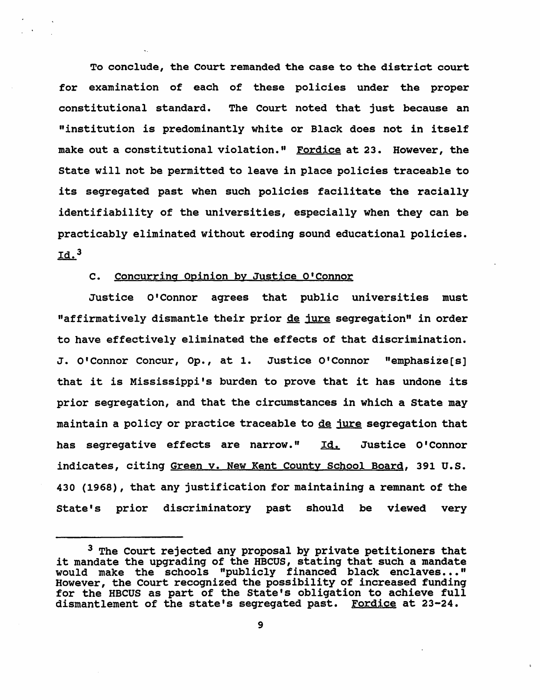To conclude, the Court remanded the case to the district court for examination of each of these policies under the proper constitutional standard. The Court noted that just because an "institution is predominantly white or Black does not in itself make out a constitutional violation." Fordice at 23. However, the state will not be permitted to leave in place policies traceable to its segregated past when such policies facilitate the racially identifiability of the universities, especially when they can be practicably eliminated without eroding sound educational policies.  $Id.<sup>3</sup>$ 

### C. Concurring Opinion by Justice O'Connor

Justice O'Connor agrees that public universities must "affirmatively dismantle their prior de jure segregation" in order to have effectively eliminated the effects of that discrimination. J. O' Connor Concur, Op., at 1. Justice O' Connor "emphasize [s] that it is Mississippi's burden to prove that it has undone its prior segregation, and that the circumstances in which a state may maintain a policy or practice traceable to de jure segregation that has segregative effects are narrow." Id. Justice O'Connor indicates, citing Green v. New Kent County School Board, 391 U.S. 430 (1968), that any justification for maintaining a remnant of the State's prior discriminatory past should be viewed very

 $3$  The Court rejected any proposal by private petitioners that it mandate the upgrading of the HBCUS, stating that such a mandate would make the schools "publicly financed black enclaves..." However, the Court recognized the possibility of increased funding for the HBCUS as part of the State's obligation to achieve full dismantlement of the state's segregated past. Fordice at 23-24.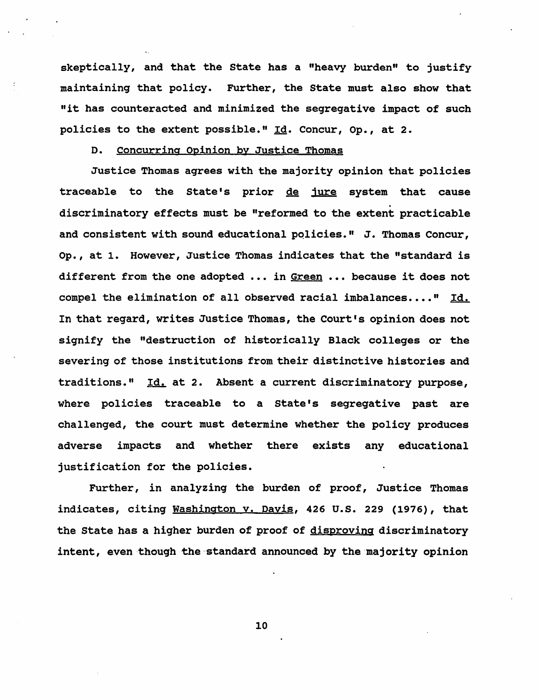skeptically, and that the state has a "heavy burden" to justify maintaining that policy. Further, the state must also show that "it has counteracted and minimized the segregative impact of such policies to the extent possible." Id. Concur, Op., at 2.

#### D. concurring Opinion by Justice Thomas

Justice Thomas agrees with the majority opinion that policies traceable to the State's prior de jure system that cause . discriminatory effects must be "reformed to the extent practicable and consistent with sound educational policies." J. Thomas Concur, Op., at 1. However, Justice Thomas indicates that the "standard is different from the one adopted ... in Green ... because it does not compel the elimination of all observed racial imbalances...." Id. In that regard, writes Justice Thomas, the Court's opinion does not signify the "destruction of historically Black colleges or the severing of those institutions from their distinctive histories and traditions."  $Id.$  at 2. Absent a current discriminatory purpose, where policies traceable to a state's segregative past are challenged, the court must determine whether the policy produces adverse impacts and whether there exists any educational justification for the policies.

Further, in analyzing the burden of proof, Justice Thomas indicates, citing Washington v. Davis, 426 U.S. 229 (1976), that the state has a higher burden of proof of disproving discriminatory intent, even though the standard announced by the majority opinion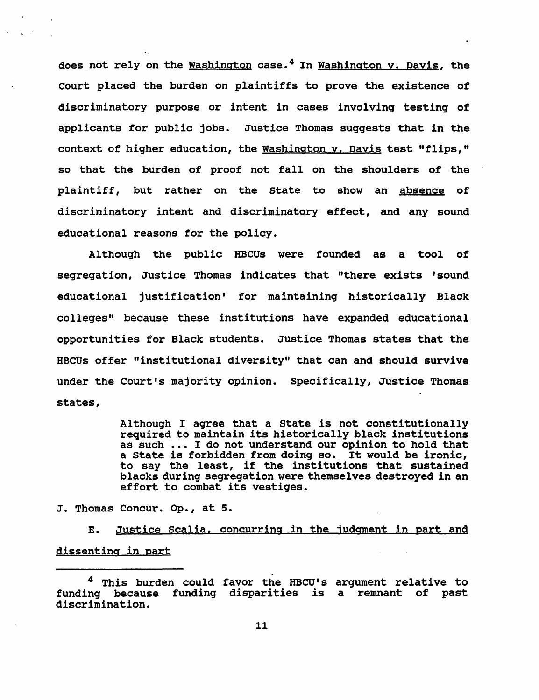does not rely on the Washington case.<sup>4</sup> In Washington v. Dayis, the Court placed the burden on plaintiffs to prove the existence of discriminatory purpose or intent in cases involving testing of applicants for public jobs. Justice Thomas suggests that in the context of higher education, the Washington y. Davis test "flips," so that the burden of proof not fall on the shoulders of the plaintiff, but rather on the state to show an absence of discriminatory intent and discriminatory effect, and any sound educational reasons for the policy.

Although the public HBCUs were founded as a tool of segregation, Justice Thomas indicates that "there exists 'sound educational justification' for maintaining historically Black colleges" because these institutions have expanded educational opportunities for Black students. Justice Thomas states that the HBCUs offer "institutional diversity" that can and should survive under the Court's majority opinion. Specifically, Justice Thomas states,

> Although I agree that a state is not constitutionally required to maintain its historically black institutions as such ... I do not understand our opinion to hold that a state is forbidden from doing so. It would be ironic, to say the least, if the institutions that sustained blacks during segregation were themselves destroyed in an effort to combat its vestiges.

J. Thomas Concur. op., at 5.

E. Justice Scalia, concurring in the judgment in part and dissenting in part

<sup>&</sup>lt;sup>4</sup> This burden could favor the HBCU's argument relative to funding because funding disparities is a remnant of past discrimination.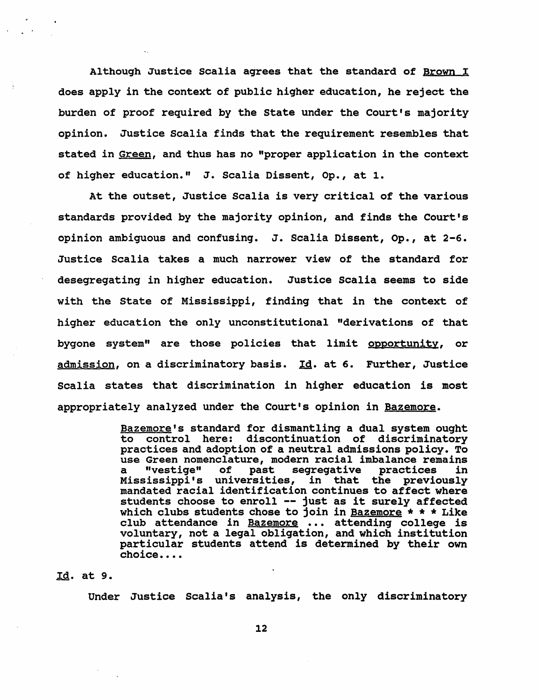Although Justice Scalia agrees that the standard of Brown I does apply in the context of public higher education, he reject the burden of proof required by the State under the Court's majority opinion. Justice Scalia finds that the requirement resembles that stated in Green, and thus has no "proper application in the context of higher education." J. Scalia Dissent, Op., at 1.

At the outset, Justice Scalia is very critical of the various standards provided by the majority opinion, and finds the Court's opinion ambiguous and confusing. J. Scalia Dissent, Op., at 2-6. Justice Scalia takes a much narrower view of the standard for desegregating in higher education. Justice Scalia seems to side with the state of Mississippi, finding that in the context of higher education the only unconstitutional "derivations of that bygone system" are those policies that limit opportunity, or admission, on a discriminatory basis. Id. at 6. Further, Justice Scalia states that discrimination in higher education is most appropriately analyzed under the Court's opinion in Bazemore.

> Bazemore's standard for dismantling a dual system ought to control here: discontinuation of discriminatory practices and adoption of a neutral admissions policy. To use Green nomenclature, modern racial imbalance remains a "vestige" of past segregative practices in Mississippi's universities, in that the previously mandated racial identification continues to affect where students choose to enroll -- just as it surely affected which clubs students chose to join in Bazemore  $* * *$  Like club attendance in Bazemore ... attending college is voluntary, not a legal obligation, and which institution particular students attend is determined by their own choice.... .

#### ,Ig. at 9.

Under Justice Scalia's analysis, the only discriminatory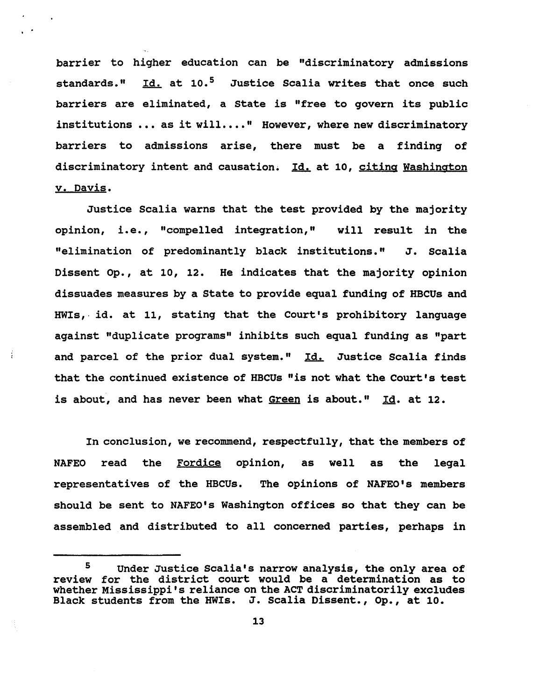barrier to higher education can be "discriminatory admissions standards." Id. at 10.<sup>5</sup> Justice Scalia writes that once such barriers are eliminated, a state is "free to qovern its public institutions ... as it will ...." However, where new discriminatory barriers to admissions arise, there must be a findinq of discriminatory intent and causation. Id. at 10, citing Washington v. Davis.

Justice Scalia warns that the test provided by the majority opinion, i.e., "compelled integration," will result in the "elimination of predominantly black institutions." J. Scalia Dissent Op., at 10, 12. He indicates that the majority opinion dissuades measures by a State to provide equal fundinq of HBCUs and HWIs, id. at 11, stating that the Court's prohibitory language aqainst "duplicate programs" inhibits such equal funding as "part and parcel of the prior dual system." Id. Justice Scalia finds that the continued existence of HBCUs "is not what the Court's test is about, and has never been what Green is about." Id. at 12.

ŧ

In conclusion, we recommend, respectfully, that the members of NAFEO read the Fordice opinion, as well as the legal representatives of the HBCUs. The opinions of NAFEO's members should be sent to NAFEO's Washington offices so that they can be assembled and distributed to all concerned parties, perhaps in

<sup>&</sup>lt;sup>5</sup> Under Justice Scalia's narrow analysis, the only area of review for the district court would be a determination as to whether Mississippi's reliance on the ACT discriminatorily excludes Black students from the HWIs. J. Scalia Dissent., Op., at 10.